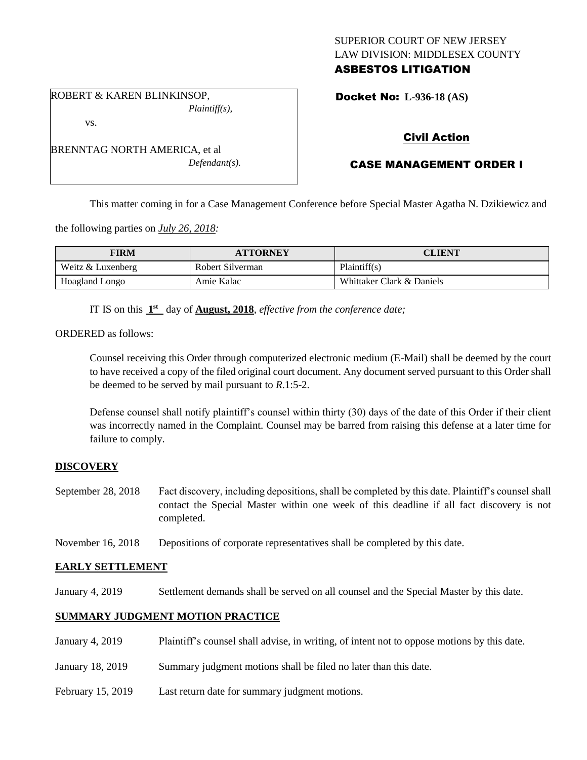## SUPERIOR COURT OF NEW JERSEY LAW DIVISION: MIDDLESEX COUNTY ASBESTOS LITIGATION

ROBERT & KAREN BLINKINSOP, *Plaintiff(s),*

vs.

BRENNTAG NORTH AMERICA, et al *Defendant(s).* Docket No: **L-936-18 (AS)** 

# Civil Action

# CASE MANAGEMENT ORDER I

This matter coming in for a Case Management Conference before Special Master Agatha N. Dzikiewicz and

the following parties on *July 26, 2018:*

| <b>FIRM</b>       | <b>ATTORNEY</b>  | <b>CLIENT</b>             |
|-------------------|------------------|---------------------------|
| Weitz & Luxenberg | Robert Silverman | Plaintiff(s)              |
| Hoagland Longo    | Amie Kalac       | Whittaker Clark & Daniels |

IT IS on this  $1<sup>st</sup>$  day of **August, 2018**, *effective from the conference date*;

ORDERED as follows:

Counsel receiving this Order through computerized electronic medium (E-Mail) shall be deemed by the court to have received a copy of the filed original court document. Any document served pursuant to this Order shall be deemed to be served by mail pursuant to *R*.1:5-2.

Defense counsel shall notify plaintiff's counsel within thirty (30) days of the date of this Order if their client was incorrectly named in the Complaint. Counsel may be barred from raising this defense at a later time for failure to comply.

## **DISCOVERY**

September 28, 2018 Fact discovery, including depositions, shall be completed by this date. Plaintiff's counsel shall contact the Special Master within one week of this deadline if all fact discovery is not completed.

November 16, 2018 Depositions of corporate representatives shall be completed by this date.

## **EARLY SETTLEMENT**

January 4, 2019 Settlement demands shall be served on all counsel and the Special Master by this date.

## **SUMMARY JUDGMENT MOTION PRACTICE**

| January 4, 2019   | Plaintiff's counsel shall advise, in writing, of intent not to oppose motions by this date. |
|-------------------|---------------------------------------------------------------------------------------------|
| January 18, 2019  | Summary judgment motions shall be filed no later than this date.                            |
| February 15, 2019 | Last return date for summary judgment motions.                                              |